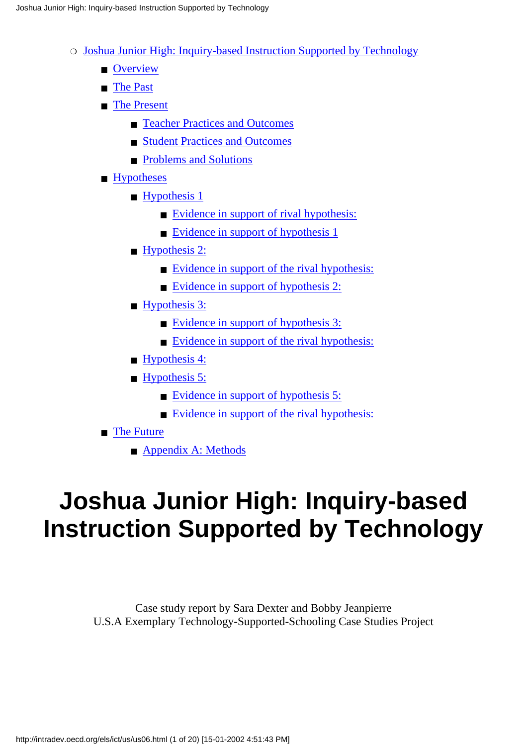- o [Joshua Junior High: Inquiry-based Instruction Supported by Technology](#page-0-0)
	- [Overview](#page-1-0)
	- [The Past](#page-2-0)
	- [The Present](#page-4-0)
		- [Teacher Practices and Outcomes](#page-7-0)
		- [Student Practices and Outcomes](#page-8-0)
		- [Problems and Solutions](#page-11-0)
	- [Hypotheses](#page-12-0)
		- [Hypothesis 1](#page-12-1)
			- [Evidence in support of rival hypothesis:](#page-12-2)
			- [Evidence in support of hypothesis 1](#page-12-3)
		- [Hypothesis 2:](#page-12-4)
			- [Evidence in support of the rival hypothesis:](#page-12-5)
			- [Evidence in support of hypothesis 2:](#page-13-0)
		- [Hypothesis 3:](#page-13-1)
			- [Evidence in support of hypothesis 3:](#page-13-2)
			- [Evidence in support of the rival hypothesis:](#page-13-3)
		- [Hypothesis 4:](#page-14-0)
		- [Hypothesis 5:](#page-14-1)
			- [Evidence in support of hypothesis 5:](#page-14-2)
			- [Evidence in support of the rival hypothesis:](#page-15-0)

### ■ [The Future](#page-15-1)

■ [Appendix A: Methods](#page-16-0)

# <span id="page-0-0"></span>**Joshua Junior High: Inquiry-based Instruction Supported by Technology**

Case study report by Sara Dexter and Bobby Jeanpierre U.S.A Exemplary Technology-Supported-Schooling Case Studies Project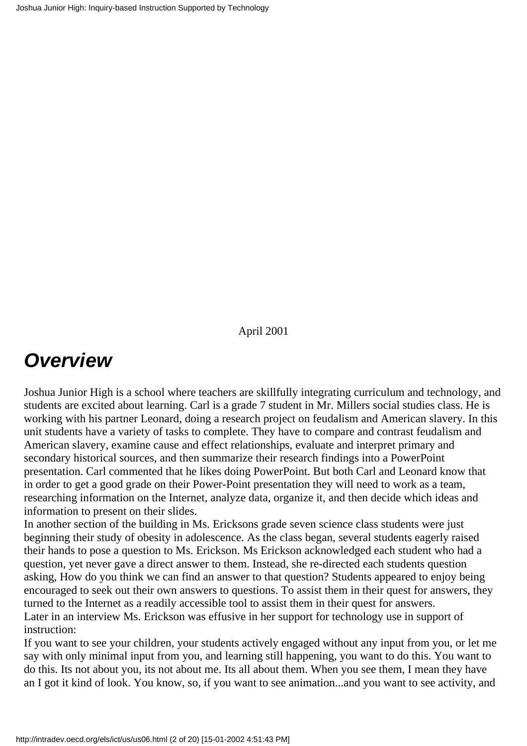April 2001

# <span id="page-1-0"></span>*Overview*

Joshua Junior High is a school where teachers are skillfully integrating curriculum and technology, and students are excited about learning. Carl is a grade 7 student in Mr. Miller s social studies class. He is working with his partner Leonard, doing a research project on feudalism and American slavery. In this unit students have a variety of tasks to complete. They have to compare and contrast feudalism and American slavery, examine cause and effect relationships, evaluate and interpret primary and secondary historical sources, and then summarize their research findings into a PowerPoint presentation. Carl commented that he likes doing PowerPoint. But both Carl and Leonard know that in order to get a good grade on their Power-Point presentation they will need to work as a team, researching information on the Internet, analyze data, organize it, and then decide which ideas and information to present on their slides.

In another section of the building in Ms. Erickson s grade seven science class students were just beginning their study of obesity in adolescence. As the class began, several students eagerly raised their hands to pose a question to Ms. Erickson. Ms Erickson acknowledged each student who had a question, yet never gave a direct answer to them. Instead, she re-directed each students question asking, How do you think we can find an answer to that question? Students appeared to enjoy being encouraged to seek out their own answers to questions. To assist them in their quest for answers, they turned to the Internet as a readily accessible tool to assist them in their quest for answers. Later in an interview Ms. Erickson was effusive in her support for technology use in support of instruction:

If you want to see your children, your students actively engaged without any input from you, or let me say with only minimal input from you, and learning still happening, you want to do this. You want to do this. It s not about you, it s not about me. It s all about them. When you see them, I mean they have an I got it kind of look. You know, so, if you want to see animation...and you want to see activity, and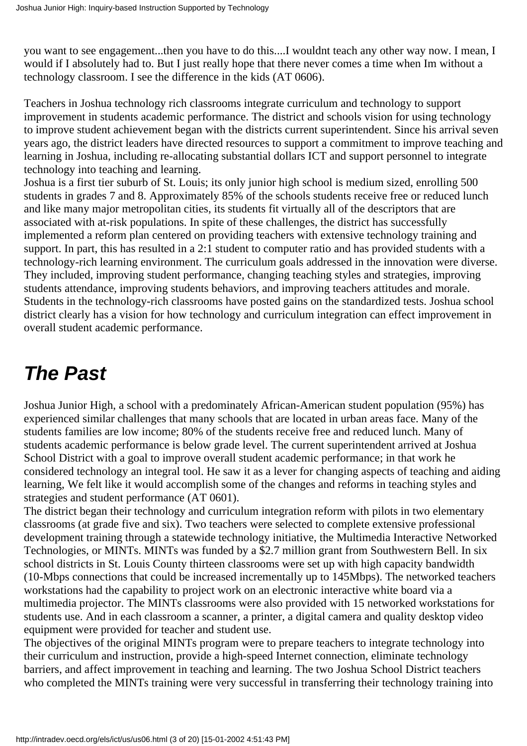you want to see engagement...then you have to do this....I wouldn t teach any other way now. I mean, I would if I absolutely had to. But I just really hope that there never comes a time when I m without a technology classroom. I see the difference in the kids (AT 0606).

Teachers in Joshua technology rich classrooms integrate curriculum and technology to support improvement in students academic performance. The district and school s vision for using technology to improve student achievement began with the district s current superintendent. Since his arrival seven years ago, the district leaders have directed resources to support a commitment to improve teaching and learning in Joshua, including re-allocating substantial dollars ICT and support personnel to integrate technology into teaching and learning.

Joshua is a first tier suburb of St. Louis; its only junior high school is medium sized, enrolling 500 students in grades 7 and 8. Approximately 85% of the school s students receive free or reduced lunch and like many major metropolitan cities, its students fit virtually all of the descriptors that are associated with at-risk populations. In spite of these challenges, the district has successfully implemented a reform plan centered on providing teachers with extensive technology training and support. In part, this has resulted in a 2:1 student to computer ratio and has provided students with a technology-rich learning environment. The curriculum goals addressed in the innovation were diverse. They included, improving student performance, changing teaching styles and strategies, improving students attendance, improving students behaviors, and improving teachers attitudes and morale. Students in the technology-rich classrooms have posted gains on the standardized tests. Joshua school district clearly has a vision for how technology and curriculum integration can effect improvement in overall student academic performance.

# <span id="page-2-0"></span>*The Past*

Joshua Junior High, a school with a predominately African-American student population (95%) has experienced similar challenges that many schools that are located in urban areas face. Many of the students families are low income; 80% of the students receive free and reduced lunch. Many of students academic performance is below grade level. The current superintendent arrived at Joshua School District with a goal to improve overall student academic performance; in that work he considered technology an integral tool. He saw it as a lever for changing aspects of teaching and aiding learning, We felt like it would accomplish some of the changes and reforms in teaching styles and strategies and student performance (AT 0601).

The district began their technology and curriculum integration reform with pilots in two elementary classrooms (at grade five and six). Two teachers were selected to complete extensive professional development training through a statewide technology initiative, the Multimedia Interactive Networked Technologies, or MINTs. MINTs was funded by a \$2.7 million grant from Southwestern Bell. In six school districts in St. Louis County thirteen classrooms were set up with high capacity bandwidth (10-Mbps connections that could be increased incrementally up to 145Mbps). The networked teachers workstations had the capability to project work on an electronic interactive white board via a multimedia projector. The MINTs classrooms were also provided with 15 networked workstations for students use. And in each classroom a scanner, a printer, a digital camera and quality desktop video equipment were provided for teacher and student use.

The objectives of the original MINTs program were to prepare teachers to integrate technology into their curriculum and instruction, provide a high-speed Internet connection, eliminate technology barriers, and affect improvement in teaching and learning. The two Joshua School District teachers who completed the MINTs training were very successful in transferring their technology training into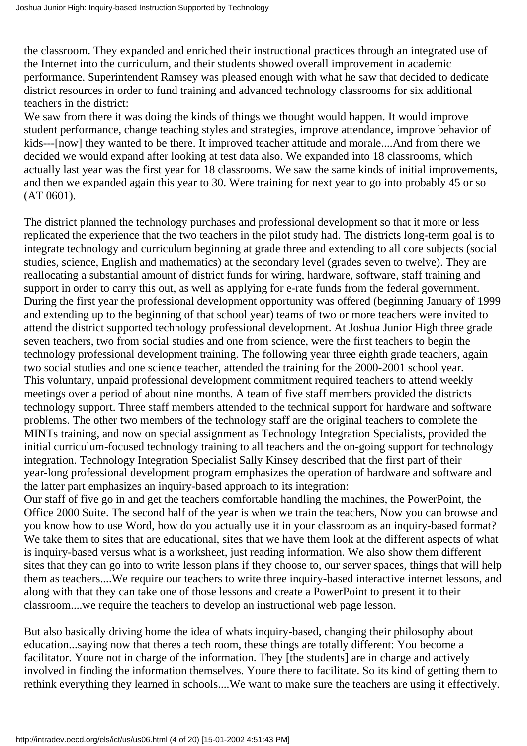the classroom. They expanded and enriched their instructional practices through an integrated use of the Internet into the curriculum, and their students showed overall improvement in academic performance. Superintendent Ramsey was pleased enough with what he saw that decided to dedicate district resources in order to fund training and advanced technology classrooms for six additional teachers in the district:

We saw from there it was doing the kinds of things we thought would happen. It would improve student performance, change teaching styles and strategies, improve attendance, improve behavior of kids---[now] they wanted to be there. It improved teacher attitude and morale....And from there we decided we would expand after looking at test data also. We expanded into 18 classrooms, which actually last year was the first year for 18 classrooms. We saw the same kinds of initial improvements, and then we expanded again this year to 30. Were training for next year to go into probably 45 or so (AT 0601).

The district planned the technology purchases and professional development so that it more or less replicated the experience that the two teachers in the pilot study had. The district s long-term goal is to integrate technology and curriculum beginning at grade three and extending to all core subjects (social studies, science, English and mathematics) at the secondary level (grades seven to twelve). They are reallocating a substantial amount of district funds for wiring, hardware, software, staff training and support in order to carry this out, as well as applying for e-rate funds from the federal government. During the first year the professional development opportunity was offered (beginning January of 1999 and extending up to the beginning of that school year) teams of two or more teachers were invited to attend the district supported technology professional development. At Joshua Junior High three grade seven teachers, two from social studies and one from science, were the first teachers to begin the technology professional development training. The following year three eighth grade teachers, again two social studies and one science teacher, attended the training for the 2000-2001 school year. This voluntary, unpaid professional development commitment required teachers to attend weekly meetings over a period of about nine months. A team of five staff members provided the district s technology support. Three staff members attended to the technical support for hardware and software problems. The other two members of the technology staff are the original teachers to complete the MINTs training, and now on special assignment as Technology Integration Specialists, provided the initial curriculum-focused technology training to all teachers and the on-going support for technology integration. Technology Integration Specialist Sally Kinsey described that the first part of their year-long professional development program emphasizes the operation of hardware and software and the latter part emphasizes an inquiry-based approach to its integration:

Our staff of five go in and get the teachers comfortable handling the machines, the PowerPoint, the Office 2000 Suite. The second half of the year is when we train the teachers, Now you can browse and you know how to use Word, how do you actually use it in your classroom as an inquiry-based format? We take them to sites that are educational, sites that we have them look at the different aspects of what is inquiry-based versus what is a worksheet, just reading information. We also show them different sites that they can go into to write lesson plans if they choose to, our server spaces, things that will help them as teachers....We require our teachers to write three inquiry-based interactive internet lessons, and along with that they can take one of those lessons and create a PowerPoint to present it to their classroom....we require the teachers to develop an instructional web page lesson.

But also basically driving home the idea of what s inquiry-based, changing their philosophy about education...saying now that there s a tech room, these things are totally different: You become a facilitator. You re not in charge of the information. They [the students] are in charge and actively involved in finding the information themselves. You re there to facilitate. So it s kind of getting them to rethink everything they learned in schools....We want to make sure the teachers are using it effectively.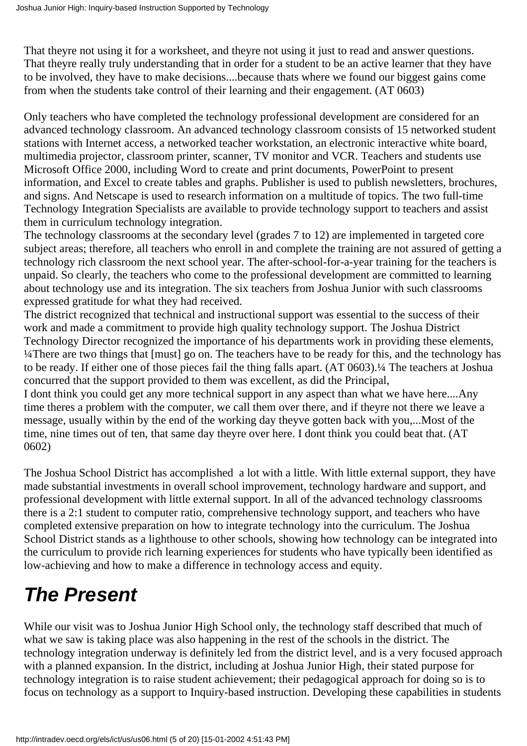That they re not using it for a worksheet, and they re not using it just to read and answer questions. That they re really truly understanding that in order for a student to be an active learner that they have to be involved, they have to make decisions....because that s where we found our biggest gains come from when the students take control of their learning and their engagement. (AT 0603)

Only teachers who have completed the technology professional development are considered for an advanced technology classroom. An advanced technology classroom consists of 15 networked student stations with Internet access, a networked teacher workstation, an electronic interactive white board, multimedia projector, classroom printer, scanner, TV monitor and VCR. Teachers and students use Microsoft Office 2000, including Word to create and print documents, PowerPoint to present information, and Excel to create tables and graphs. Publisher is used to publish newsletters, brochures, and signs. And Netscape is used to research information on a multitude of topics. The two full-time Technology Integration Specialists are available to provide technology support to teachers and assist them in curriculum technology integration.

The technology classrooms at the secondary level (grades 7 to 12) are implemented in targeted core subject areas; therefore, all teachers who enroll in and complete the training are not assured of getting a technology rich classroom the next school year. The after-school-for-a-year training for the teachers is unpaid. So clearly, the teachers who come to the professional development are committed to learning about technology use and its integration. The six teachers from Joshua Junior with such classrooms expressed gratitude for what they had received.

The district recognized that technical and instructional support was essential to the success of their work and made a commitment to provide high quality technology support. The Joshua District Technology Director recognized the importance of his department s work in providing these elements, <sup>1</sup>/4There are two things that [must] go on. The teachers have to be ready for this, and the technology has to be ready. If either one of those pieces fail the thing falls apart. (AT 0603).¼ The teachers at Joshua concurred that the support provided to them was excellent, as did the Principal,

I dont think you could get any more technical support in any aspect than what we have here....Any time there s a problem with the computer, we call them over there, and if they re not there we leave a message, usually within by the end of the working day theyve gotten back with you,...Most of the time, nine times out of ten, that same day they re over here. I don t think you could beat that. (AT 0602)

The Joshua School District has accomplished a lot with a little. With little external support, they have made substantial investments in overall school improvement, technology hardware and support, and professional development with little external support. In all of the advanced technology classrooms there is a 2:1 student to computer ratio, comprehensive technology support, and teachers who have completed extensive preparation on how to integrate technology into the curriculum. The Joshua School District stands as a lighthouse to other schools, showing how technology can be integrated into the curriculum to provide rich learning experiences for students who have typically been identified as low-achieving and how to make a difference in technology access and equity.

# <span id="page-4-0"></span>*The Present*

While our visit was to Joshua Junior High School only, the technology staff described that much of what we saw is taking place was also happening in the rest of the schools in the district. The technology integration underway is definitely led from the district level, and is a very focused approach with a planned expansion. In the district, including at Joshua Junior High, their stated purpose for technology integration is to raise student achievement; their pedagogical approach for doing so is to focus on technology as a support to Inquiry-based instruction. Developing these capabilities in students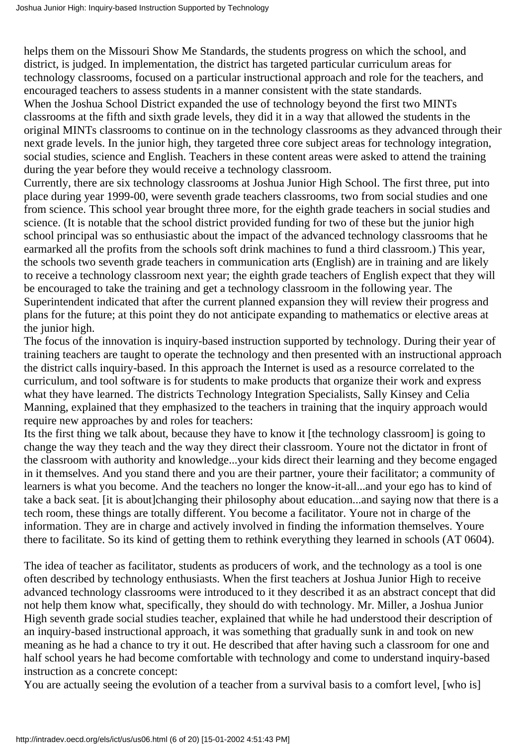helps them on the Missouri Show Me Standards, the students progress on which the school, and district, is judged. In implementation, the district has targeted particular curriculum areas for technology classrooms, focused on a particular instructional approach and role for the teachers, and encouraged teachers to assess students in a manner consistent with the state standards. When the Joshua School District expanded the use of technology beyond the first two MINTs classrooms at the fifth and sixth grade levels, they did it in a way that allowed the students in the original MINTs classrooms to continue on in the technology classrooms as they advanced through their next grade levels. In the junior high, they targeted three core subject areas for technology integration, social studies, science and English. Teachers in these content areas were asked to attend the training during the year before they would receive a technology classroom.

Currently, there are six technology classrooms at Joshua Junior High School. The first three, put into place during year 1999-00, were seventh grade teachers classrooms, two from social studies and one from science. This school year brought three more, for the eighth grade teachers in social studies and science. (It is notable that the school district provided funding for two of these but the junior high school principal was so enthusiastic about the impact of the advanced technology classrooms that he earmarked all the profits from the school s soft drink machines to fund a third classroom.) This year, the school s two seventh grade teachers in communication arts (English) are in training and are likely to receive a technology classroom next year; the eighth grade teachers of English expect that they will be encouraged to take the training and get a technology classroom in the following year. The Superintendent indicated that after the current planned expansion they will review their progress and plans for the future; at this point they do not anticipate expanding to mathematics or elective areas at the junior high.

The focus of the innovation is inquiry-based instruction supported by technology. During their year of training teachers are taught to operate the technology and then presented with an instructional approach the district calls inquiry-based. In this approach the Internet is used as a resource correlated to the curriculum, and tool software is for students to make products that organize their work and express what they have learned. The district s Technology Integration Specialists, Sally Kinsey and Celia Manning, explained that they emphasized to the teachers in training that the inquiry approach would require new approaches by and roles for teachers:

Its the first thing we talk about, because they have to know it [the technology classroom] is going to change the way they teach and the way they direct their classroom. Youre not the dictator in front of the classroom with authority and knowledge...your kids direct their learning and they become engaged in it themselves. And you stand there and you are their partner, youre their facilitator; a community of learners is what you become. And the teacher s no longer the know-it-all...and your ego has to kind of take a back seat. [it is about]changing their philosophy about education...and saying now that there is a tech room, these things are totally different. You become a facilitator. Youre not in charge of the information. They are in charge and actively involved in finding the information themselves. Youre there to facilitate. So it s kind of getting them to rethink everything they learned in schools (AT 0604).

The idea of teacher as facilitator, students as producers of work, and the technology as a tool is one often described by technology enthusiasts. When the first teachers at Joshua Junior High to receive advanced technology classrooms were introduced to it they described it as an abstract concept that did not help them know what, specifically, they should do with technology. Mr. Miller, a Joshua Junior High seventh grade social studies teacher, explained that while he had understood their description of an inquiry-based instructional approach, it was something that gradually sunk in and took on new meaning as he had a chance to try it out. He described that after having such a classroom for one and half school years he had become comfortable with technology and come to understand inquiry-based instruction as a concrete concept:

You are actually seeing the evolution of a teacher from a survival basis to a comfort level, [who is]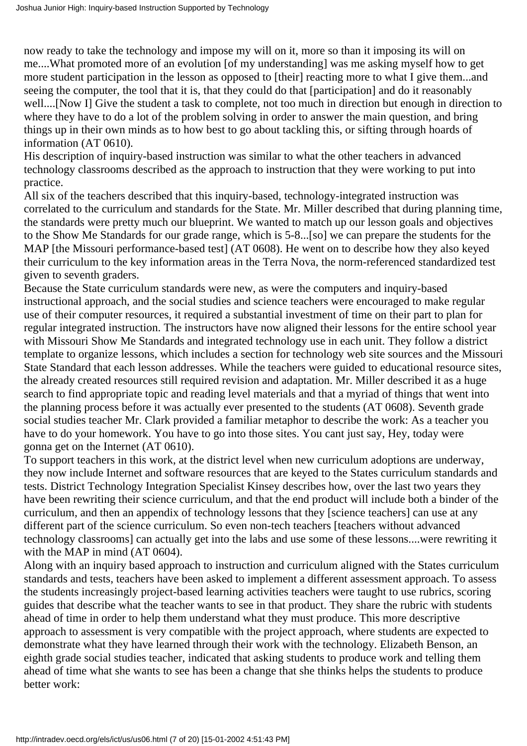now ready to take the technology and impose my will on it, more so than it imposing its will on me....What promoted more of an evolution [of my understanding] was me asking myself how to get more student participation in the lesson as opposed to [their] reacting more to what I give them...and seeing the computer, the tool that it is, that they could do that [participation] and do it reasonably well....[Now I] Give the student a task to complete, not too much in direction but enough in direction to where they have to do a lot of the problem solving in order to answer the main question, and bring things up in their own minds as to how best to go about tackling this, or sifting through hoards of information (AT 0610).

His description of inquiry-based instruction was similar to what the other teachers in advanced technology classrooms described as the approach to instruction that they were working to put into practice.

All six of the teachers described that this inquiry-based, technology-integrated instruction was correlated to the curriculum and standards for the State. Mr. Miller described that during planning time, the standards were pretty much our blueprint. We wanted to match up our lesson goals and objectives to the Show Me Standards for our grade range, which is 5-8...[so] we can prepare the students for the MAP [the Missouri performance-based test] (AT 0608). He went on to describe how they also keyed their curriculum to the key information areas in the Terra Nova, the norm-referenced standardized test given to seventh graders.

Because the State curriculum standards were new, as were the computers and inquiry-based instructional approach, and the social studies and science teachers were encouraged to make regular use of their computer resources, it required a substantial investment of time on their part to plan for regular integrated instruction. The instructors have now aligned their lessons for the entire school year with Missouri Show Me Standards and integrated technology use in each unit. They follow a district template to organize lessons, which includes a section for technology web site sources and the Missouri State Standard that each lesson addresses. While the teachers were guided to educational resource sites, the already created resources still required revision and adaptation. Mr. Miller described it as a huge search to find appropriate topic and reading level materials and that a myriad of things that went into the planning process before it was actually ever presented to the students (AT 0608). Seventh grade social studies teacher Mr. Clark provided a familiar metaphor to describe the work: As a teacher you have to do your homework. You have to go into those sites. You can t just say, Hey, today we re gonna get on the Internet (AT 0610).

To support teachers in this work, at the district level when new curriculum adoptions are underway, they now include Internet and software resources that are keyed to the States curriculum standards and tests. District Technology Integration Specialist Kinsey describes how, over the last two years they have been rewriting their science curriculum, and that the end product will include both a binder of the curriculum, and then an appendix of technology lessons that they [science teachers] can use at any different part of the science curriculum. So even non-tech teachers [teachers without advanced technology classrooms] can actually get into the labs and use some of these lessons....were rewriting it with the MAP in mind (AT 0604).

Along with an inquiry based approach to instruction and curriculum aligned with the States curriculum standards and tests, teachers have been asked to implement a different assessment approach. To assess the students increasingly project-based learning activities teachers were taught to use rubrics, scoring guides that describe what the teacher wants to see in that product. They share the rubric with students ahead of time in order to help them understand what they must produce. This more descriptive approach to assessment is very compatible with the project approach, where students are expected to demonstrate what they have learned through their work with the technology. Elizabeth Benson, an eighth grade social studies teacher, indicated that asking students to produce work and telling them ahead of time what she wants to see has been a change that she thinks helps the students to produce better work: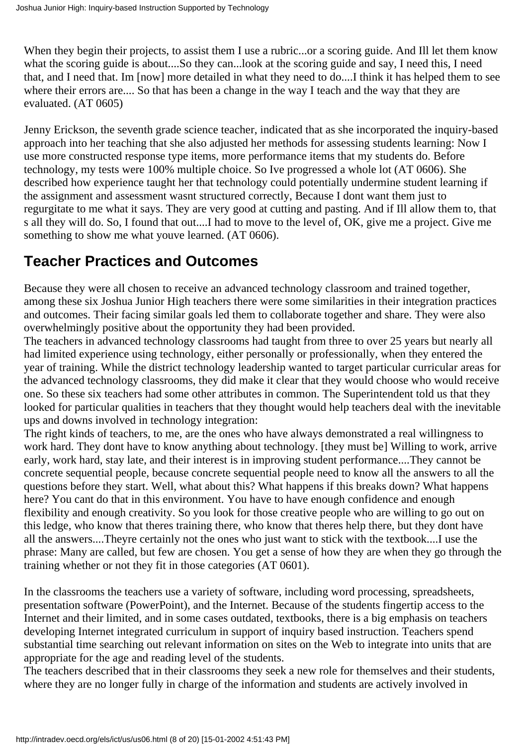When they begin their projects, to assist them I use a rubric...or a scoring guide. And I ll let them know what the scoring guide is about....So they can...look at the scoring guide and say, I need this, I need that, and I need that. Im [now] more detailed in what they need to do....I think it has helped them to see where their errors are.... So that has been a change in the way I teach and the way that they are evaluated. (AT 0605)

Jenny Erickson, the seventh grade science teacher, indicated that as she incorporated the inquiry-based approach into her teaching that she also adjusted her methods for assessing students learning: Now I use more constructed response type items, more performance items that my students do. Before technology, my tests were 100% multiple choice. So Ive progressed a whole lot (AT 0606). She described how experience taught her that technology could potentially undermine student learning if the assignment and assessment wasnt structured correctly, Because I dont want them just to regurgitate to me what it says. They are very good at cutting and pasting. And if Ill allow them to, that s all they will do. So, I found that out....I had to move to the level of, OK, give me a project. Give me something to show me what you ve learned. (AT 0606).

## <span id="page-7-0"></span>**Teacher Practices and Outcomes**

Because they were all chosen to receive an advanced technology classroom and trained together, among these six Joshua Junior High teachers there were some similarities in their integration practices and outcomes. Their facing similar goals led them to collaborate together and share. They were also overwhelmingly positive about the opportunity they had been provided.

The teachers in advanced technology classrooms had taught from three to over 25 years but nearly all had limited experience using technology, either personally or professionally, when they entered the year of training. While the district technology leadership wanted to target particular curricular areas for the advanced technology classrooms, they did make it clear that they would choose who would receive one. So these six teachers had some other attributes in common. The Superintendent told us that they looked for particular qualities in teachers that they thought would help teachers deal with the inevitable ups and downs involved in technology integration:

The right kinds of teachers, to me, are the ones who have always demonstrated a real willingness to work hard. They don t have to know anything about technology. [they must be] Willing to work, arrive early, work hard, stay late, and their interest is in improving student performance....They cannot be concrete sequential people, because concrete sequential people need to know all the answers to all the questions before they start. Well, what about this? What happens if this breaks down? What happens here? You can t do that in this environment. You have to have enough confidence and enough flexibility and enough creativity. So you look for those creative people who are willing to go out on this ledge, who know that there s training there, who know that there s help there, but they don t have all the answers....They re certainly not the ones who just want to stick with the textbook....I use the phrase: Many are called, but few are chosen. You get a sense of how they are when they go through the training whether or not they fit in those categories (AT 0601).

In the classrooms the teachers use a variety of software, including word processing, spreadsheets, presentation software (PowerPoint), and the Internet. Because of the students fingertip access to the Internet and their limited, and in some cases outdated, textbooks, there is a big emphasis on teachers developing Internet integrated curriculum in support of inquiry based instruction. Teachers spend substantial time searching out relevant information on sites on the Web to integrate into units that are appropriate for the age and reading level of the students.

The teachers described that in their classrooms they seek a new role for themselves and their students, where they are no longer fully in charge of the information and students are actively involved in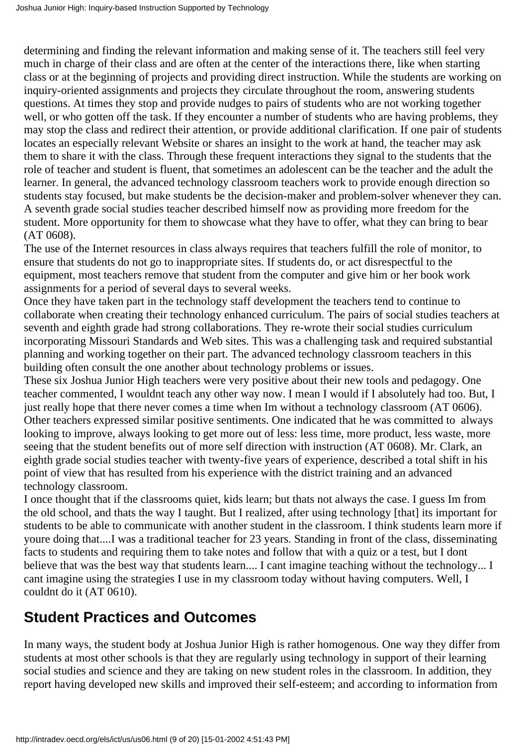determining and finding the relevant information and making sense of it. The teachers still feel very much in charge of their class and are often at the center of the interactions there, like when starting class or at the beginning of projects and providing direct instruction. While the students are working on inquiry-oriented assignments and projects they circulate throughout the room, answering students questions. At times they stop and provide nudges to pairs of students who are not working together well, or who gotten off the task. If they encounter a number of students who are having problems, they may stop the class and redirect their attention, or provide additional clarification. If one pair of students locates an especially relevant Website or shares an insight to the work at hand, the teacher may ask them to share it with the class. Through these frequent interactions they signal to the students that the role of teacher and student is fluent, that sometimes an adolescent can be the teacher and the adult the learner. In general, the advanced technology classroom teachers work to provide enough direction so students stay focused, but make students be the decision-maker and problem-solver whenever they can. A seventh grade social studies teacher described himself now as providing more freedom for the student. More opportunity for them to showcase what they have to offer, what they can bring to bear (AT 0608).

The use of the Internet resources in class always requires that teachers fulfill the role of monitor, to ensure that students do not go to inappropriate sites. If students do, or act disrespectful to the equipment, most teachers remove that student from the computer and give him or her book work assignments for a period of several days to several weeks.

Once they have taken part in the technology staff development the teachers tend to continue to collaborate when creating their technology enhanced curriculum. The pairs of social studies teachers at seventh and eighth grade had strong collaborations. They re-wrote their social studies curriculum incorporating Missouri Standards and Web sites. This was a challenging task and required substantial planning and working together on their part. The advanced technology classroom teachers in this building often consult the one another about technology problems or issues.

These six Joshua Junior High teachers were very positive about their new tools and pedagogy. One teacher commented, I wouldnt teach any other way now. I mean I would if I absolutely had too. But, I just really hope that there never comes a time when I m without a technology classroom (AT 0606). Other teachers expressed similar positive sentiments. One indicated that he was committed to always looking to improve, always looking to get more out of less: less time, more product, less waste, more seeing that the student benefits out of more self direction with instruction (AT 0608). Mr. Clark, an eighth grade social studies teacher with twenty-five years of experience, described a total shift in his point of view that has resulted from his experience with the district training and an advanced technology classroom.

I once thought that if the classroom s quiet, kids learn; but that s not always the case. I guess I m from the old school, and that s the way I taught. But I realized, after using technology [that] it s important for students to be able to communicate with another student in the classroom. I think students learn more if youre doing that....I was a traditional teacher for 23 years. Standing in front of the class, disseminating facts to students and requiring them to take notes and follow that with a quiz or a test, but I dont believe that was the best way that students learn.... I can t imagine teaching without the technology... I cant imagine using the strategies I use in my classroom today without having computers. Well, I couldn t do it (AT 0610).

## <span id="page-8-0"></span>**Student Practices and Outcomes**

In many ways, the student body at Joshua Junior High is rather homogenous. One way they differ from students at most other schools is that they are regularly using technology in support of their learning social studies and science and they are taking on new student roles in the classroom. In addition, they report having developed new skills and improved their self-esteem; and according to information from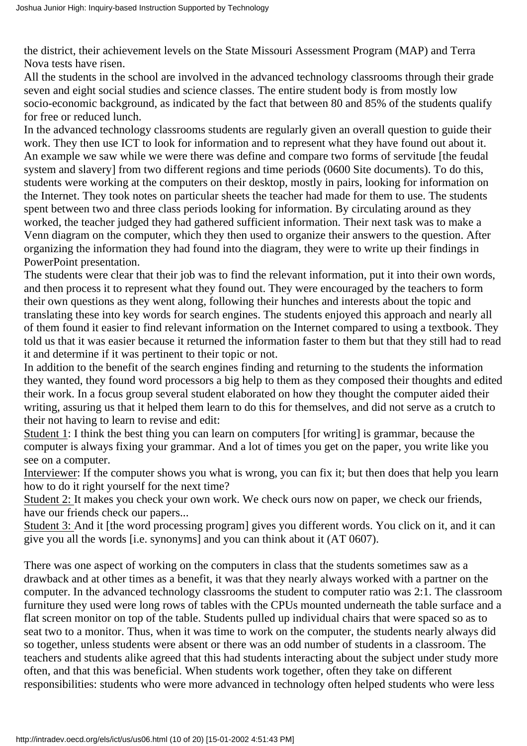the district, their achievement levels on the State Missouri Assessment Program (MAP) and Terra Nova tests have risen.

All the students in the school are involved in the advanced technology classrooms through their grade seven and eight social studies and science classes. The entire student body is from mostly low socio-economic background, as indicated by the fact that between 80 and 85% of the students qualify for free or reduced lunch.

In the advanced technology classrooms students are regularly given an overall question to guide their work. They then use ICT to look for information and to represent what they have found out about it. An example we saw while we were there was define and compare two forms of servitude [the feudal system and slavery] from two different regions and time periods (0600 Site documents). To do this, students were working at the computers on their desktop, mostly in pairs, looking for information on the Internet. They took notes on particular sheets the teacher had made for them to use. The students spent between two and three class periods looking for information. By circulating around as they worked, the teacher judged they had gathered sufficient information. Their next task was to make a Venn diagram on the computer, which they then used to organize their answers to the question. After organizing the information they had found into the diagram, they were to write up their findings in PowerPoint presentation.

The students were clear that their job was to find the relevant information, put it into their own words, and then process it to represent what they found out. They were encouraged by the teachers to form their own questions as they went along, following their hunches and interests about the topic and translating these into key words for search engines. The students enjoyed this approach and nearly all of them found it easier to find relevant information on the Internet compared to using a textbook. They told us that it was easier because it returned the information faster to them but that they still had to read it and determine if it was pertinent to their topic or not.

In addition to the benefit of the search engines finding and returning to the students the information they wanted, they found word processors a big help to them as they composed their thoughts and edited their work. In a focus group several student elaborated on how they thought the computer aided their writing, assuring us that it helped them learn to do this for themselves, and did not serve as a crutch to their not having to learn to revise and edit:

Student 1: I think the best thing you can learn on computers [for writing] is grammar, because the computer is always fixing your grammar. And a lot of times you get on the paper, you write like you see on a computer.

Interviewer: If the computer shows you what is wrong, you can fix it; but then does that help you learn how to do it right yourself for the next time?

Student 2: It makes you check your own work. We check ours now on paper, we check our friends, have our friends check our papers...

Student 3: And it [the word processing program] gives you different words. You click on it, and it can give you all the words [i.e. synonyms] and you can think about it (AT 0607).

There was one aspect of working on the computers in class that the students sometimes saw as a drawback and at other times as a benefit, it was that they nearly always worked with a partner on the computer. In the advanced technology classrooms the student to computer ratio was 2:1. The classroom furniture they used were long rows of tables with the CPUs mounted underneath the table surface and a flat screen monitor on top of the table. Students pulled up individual chairs that were spaced so as to seat two to a monitor. Thus, when it was time to work on the computer, the students nearly always did so together, unless students were absent or there was an odd number of students in a classroom. The teachers and students alike agreed that this had students interacting about the subject under study more often, and that this was beneficial. When students work together, often they take on different responsibilities: students who were more advanced in technology often helped students who were less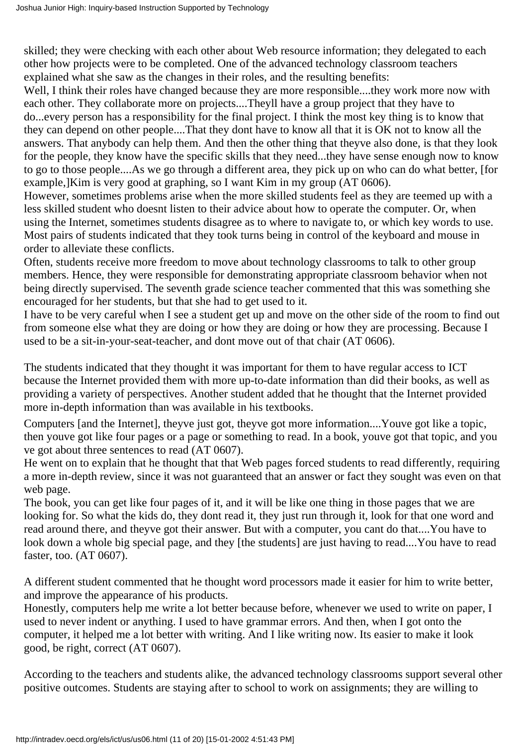skilled; they were checking with each other about Web resource information; they delegated to each other how projects were to be completed. One of the advanced technology classroom teachers explained what she saw as the changes in their roles, and the resulting benefits:

Well, I think their roles have changed because they are more responsible....they work more now with each other. They collaborate more on projects....They ll have a group project that they have to do...every person has a responsibility for the final project. I think the most key thing is to know that they can depend on other people....That they dont have to know all that it is OK not to know all the answers. That anybody can help them. And then the other thing that they ve also done, is that they look for the people, they know have the specific skills that they need...they have sense enough now to know to go to those people....As we go through a different area, they pick up on who can do what better, [for example,]Kim is very good at graphing, so I want Kim in my group (AT 0606).

However, sometimes problems arise when the more skilled students feel as they are teemed up with a less skilled student who doesn t listen to their advice about how to operate the computer. Or, when using the Internet, sometimes students disagree as to where to navigate to, or which key words to use. Most pairs of students indicated that they took turns being in control of the keyboard and mouse in order to alleviate these conflicts.

Often, students receive more freedom to move about technology classrooms to talk to other group members. Hence, they were responsible for demonstrating appropriate classroom behavior when not being directly supervised. The seventh grade science teacher commented that this was something she encouraged for her students, but that she had to get used to it.

I have to be very careful when I see a student get up and move on the other side of the room to find out from someone else what they are doing or how they are doing or how they are processing. Because I used to be a sit-in-your-seat-teacher, and dont move out of that chair (AT 0606).

The students indicated that they thought it was important for them to have regular access to ICT because the Internet provided them with more up-to-date information than did their books, as well as providing a variety of perspectives. Another student added that he thought that the Internet provided more in-depth information than was available in his textbooks.

Computers [and the Internet], they ve just got, they ve got more information....You ve got like a topic, then youve got like four pages or a page or something to read. In a book, youve got that topic, and you ve got about three sentences to read (AT 0607).

He went on to explain that he thought that that Web pages forced students to read differently, requiring a more in-depth review, since it was not guaranteed that an answer or fact they sought was even on that web page.

The book, you can get like four pages of it, and it will be like one thing in those pages that we are looking for. So what the kids do, they dont read it, they just run through it, look for that one word and read around there, and they ve got their answer. But with a computer, you can t do that....You have to look down a whole big special page, and they [the students] are just having to read....You have to read faster, too. (AT 0607).

A different student commented that he thought word processors made it easier for him to write better, and improve the appearance of his products.

Honestly, computers help me write a lot better because before, whenever we used to write on paper, I used to never indent or anything. I used to have grammar errors. And then, when I got onto the computer, it helped me a lot better with writing. And I like writing now. It s easier to make it look good, be right, correct (AT 0607).

According to the teachers and students alike, the advanced technology classrooms support several other positive outcomes. Students are staying after to school to work on assignments; they are willing to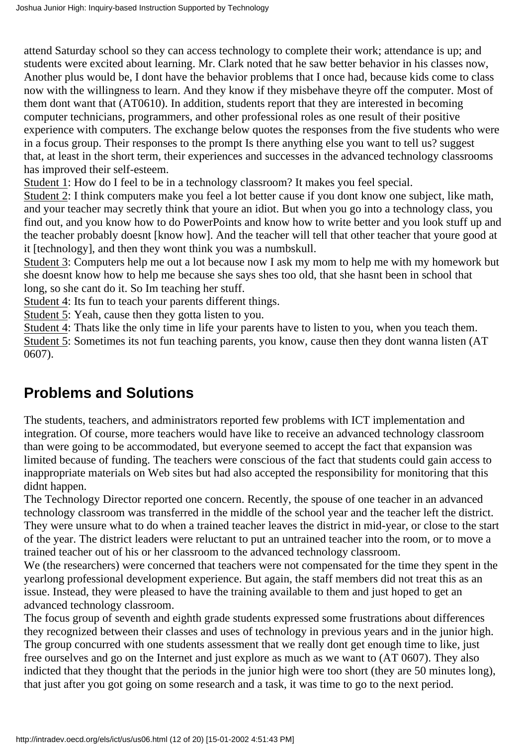attend Saturday school so they can access technology to complete their work; attendance is up; and students were excited about learning. Mr. Clark noted that he saw better behavior in his classes now, Another plus would be, I don t have the behavior problems that I once had, because kids come to class now with the willingness to learn. And they know if they misbehave they re off the computer. Most of them dont want that (AT0610). In addition, students report that they are interested in becoming computer technicians, programmers, and other professional roles as one result of their positive experience with computers. The exchange below quotes the responses from the five students who were in a focus group. Their responses to the prompt Is there anything else you want to tell us? suggest that, at least in the short term, their experiences and successes in the advanced technology classrooms has improved their self-esteem.

Student 1: How do I feel to be in a technology classroom? It makes you feel special.

Student 2: I think computers make you feel a lot better cause if you don t know one subject, like math, and your teacher may secretly think that youre an idiot. But when you go into a technology class, you find out, and you know how to do PowerPoints and know how to write better and you look stuff up and the teacher probably doesnt [know how]. And the teacher will tell that other teacher that youre good at it [technology], and then they won t think you was a numbskull.

Student 3: Computers help me out a lot because now I ask my mom to help me with my homework but she doesnt know how to help me because she says shes too old, that she hasnt been in school that long, so she can t do it. So I m teaching her stuff.

Student 4: It s fun to teach your parents different things.

Student 5: Yeah, cause then they gotta listen to you.

Student 4: That s like the only time in life your parents have to listen to you, when you teach them. Student 5: Sometimes it s not fun teaching parents, you know, cause then they don t wanna listen (AT 0607).

## <span id="page-11-0"></span>**Problems and Solutions**

The students, teachers, and administrators reported few problems with ICT implementation and integration. Of course, more teachers would have like to receive an advanced technology classroom than were going to be accommodated, but everyone seemed to accept the fact that expansion was limited because of funding. The teachers were conscious of the fact that students could gain access to inappropriate materials on Web sites but had also accepted the responsibility for monitoring that this didn t happen.

The Technology Director reported one concern. Recently, the spouse of one teacher in an advanced technology classroom was transferred in the middle of the school year and the teacher left the district. They were unsure what to do when a trained teacher leaves the district in mid-year, or close to the start of the year. The district leaders were reluctant to put an untrained teacher into the room, or to move a trained teacher out of his or her classroom to the advanced technology classroom.

We (the researchers) were concerned that teachers were not compensated for the time they spent in the yearlong professional development experience. But again, the staff members did not treat this as an issue. Instead, they were pleased to have the training available to them and just hoped to get an advanced technology classroom.

The focus group of seventh and eighth grade students expressed some frustrations about differences they recognized between their classes and uses of technology in previous years and in the junior high. The group concurred with one student s assessment that we really don t get enough time to like, just free ourselves and go on the Internet and just explore as much as we want to (AT 0607). They also indicted that they thought that the periods in the junior high were too short (they are 50 minutes long), that just after you got going on some research and a task, it was time to go to the next period.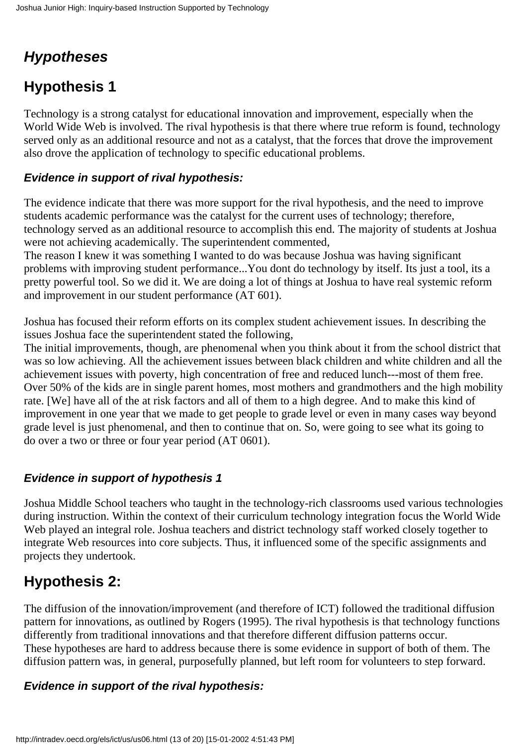# <span id="page-12-0"></span>*Hypotheses*

# <span id="page-12-1"></span>**Hypothesis 1**

Technology is a strong catalyst for educational innovation and improvement, especially when the World Wide Web is involved. The rival hypothesis is that there where true reform is found, technology served only as an additional resource and not as a catalyst, that the forces that drove the improvement also drove the application of technology to specific educational problems.

### <span id="page-12-2"></span>**Evidence in support of rival hypothesis:**

The evidence indicate that there was more support for the rival hypothesis, and the need to improve students academic performance was the catalyst for the current uses of technology; therefore, technology served as an additional resource to accomplish this end. The majority of students at Joshua were not achieving academically. The superintendent commented,

The reason I knew it was something I wanted to do was because Joshua was having significant problems with improving student performance...You don t do technology by itself. It s just a tool, it s a pretty powerful tool. So we did it. We are doing a lot of things at Joshua to have real systemic reform and improvement in our student performance (AT 601).

Joshua has focused their reform efforts on its complex student achievement issues. In describing the issues Joshua face the superintendent stated the following,

The initial improvements, though, are phenomenal when you think about it from the school district that was so low achieving. All the achievement issues between black children and white children and all the achievement issues with poverty, high concentration of free and reduced lunch---most of them free. Over 50% of the kids are in single parent homes, most mothers and grandmothers and the high mobility rate. [We] have all of the at risk factors and all of them to a high degree. And to make this kind of improvement in one year that we made to get people to grade level or even in many cases way beyond grade level is just phenomenal, and then to continue that on. So, were going to see what its going to do over a two or three or four year period (AT 0601).

### <span id="page-12-3"></span>**Evidence in support of hypothesis 1**

Joshua Middle School teachers who taught in the technology-rich classrooms used various technologies during instruction. Within the context of their curriculum technology integration focus the World Wide Web played an integral role. Joshua teachers and district technology staff worked closely together to integrate Web resources into core subjects. Thus, it influenced some of the specific assignments and projects they undertook.

## <span id="page-12-4"></span>**Hypothesis 2:**

The diffusion of the innovation/improvement (and therefore of ICT) followed the traditional diffusion pattern for innovations, as outlined by Rogers (1995). The rival hypothesis is that technology functions differently from traditional innovations and that therefore different diffusion patterns occur. These hypotheses are hard to address because there is some evidence in support of both of them. The diffusion pattern was, in general, purposefully planned, but left room for volunteers to step forward.

### <span id="page-12-5"></span>**Evidence in support of the rival hypothesis:**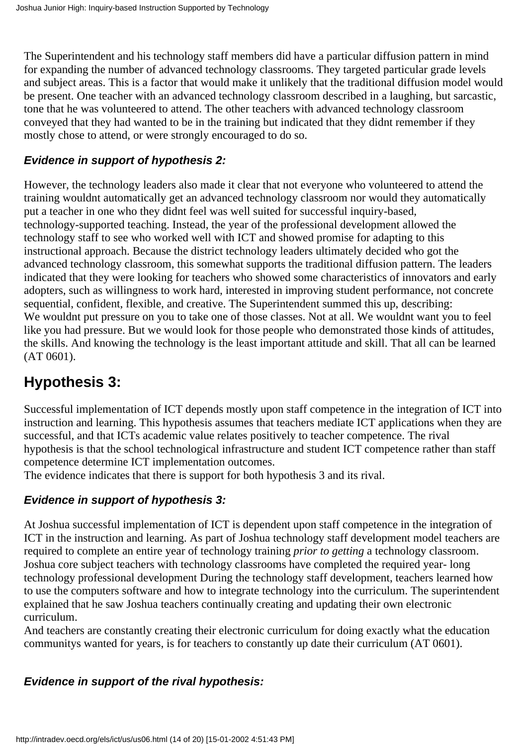The Superintendent and his technology staff members did have a particular diffusion pattern in mind for expanding the number of advanced technology classrooms. They targeted particular grade levels and subject areas. This is a factor that would make it unlikely that the traditional diffusion model would be present. One teacher with an advanced technology classroom described in a laughing, but sarcastic, tone that he was volunteered to attend. The other teachers with advanced technology classroom conveyed that they had wanted to be in the training but indicated that they didnt remember if they mostly chose to attend, or were strongly encouraged to do so.

### <span id="page-13-0"></span>**Evidence in support of hypothesis 2:**

However, the technology leaders also made it clear that not everyone who volunteered to attend the training wouldnt automatically get an advanced technology classroom nor would they automatically put a teacher in one who they didnt feel was well suited for successful inquiry-based, technology-supported teaching. Instead, the year of the professional development allowed the technology staff to see who worked well with ICT and showed promise for adapting to this instructional approach. Because the district technology leaders ultimately decided who got the advanced technology classroom, this somewhat supports the traditional diffusion pattern. The leaders indicated that they were looking for teachers who showed some characteristics of innovators and early adopters, such as willingness to work hard, interested in improving student performance, not concrete sequential, confident, flexible, and creative. The Superintendent summed this up, describing: We wouldn t put pressure on you to take one of those classes. Not at all. We wouldn t want you to feel like you had pressure. But we would look for those people who demonstrated those kinds of attitudes, the skills. And knowing the technology is the least important attitude and skill. That all can be learned (AT 0601).

# <span id="page-13-1"></span>**Hypothesis 3:**

Successful implementation of ICT depends mostly upon staff competence in the integration of ICT into instruction and learning. This hypothesis assumes that teachers mediate ICT applications when they are successful, and that ICT s academic value relates positively to teacher competence. The rival hypothesis is that the school technological infrastructure and student ICT competence rather than staff competence determine ICT implementation outcomes.

The evidence indicates that there is support for both hypothesis 3 and its rival.

### <span id="page-13-2"></span>**Evidence in support of hypothesis 3:**

At Joshua successful implementation of ICT is dependent upon staff competence in the integration of ICT in the instruction and learning. As part of Joshua technology staff development model teachers are required to complete an entire year of technology training *prior to getting* a technology classroom. Joshua core subject teachers with technology classrooms have completed the required year- long technology professional development During the technology staff development, teachers learned how to use the computer s software and how to integrate technology into the curriculum. The superintendent explained that he saw Joshua teachers continually creating and updating their own electronic curriculum.

And teachers are constantly creating their electronic curriculum for doing exactly what the education community s wanted for years, is for teachers to constantly up date their curriculum (AT 0601).

### <span id="page-13-3"></span>**Evidence in support of the rival hypothesis:**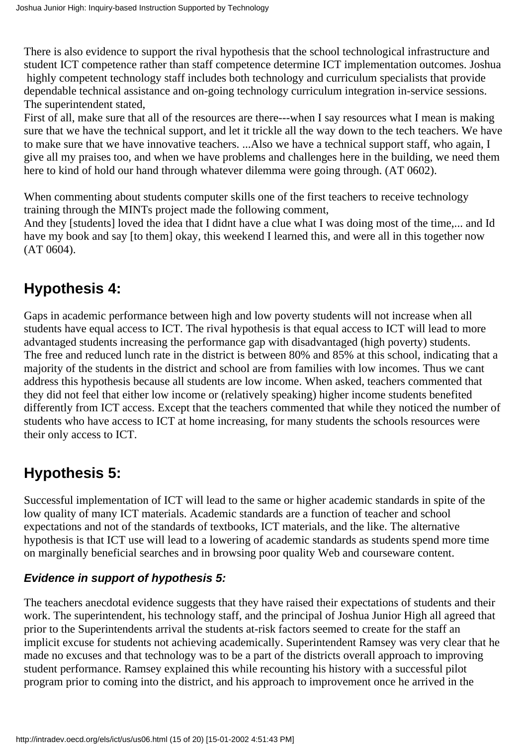There is also evidence to support the rival hypothesis that the school technological infrastructure and student ICT competence rather than staff competence determine ICT implementation outcomes. Joshua

 highly competent technology staff includes both technology and curriculum specialists that provide dependable technical assistance and on-going technology curriculum integration in-service sessions. The superintendent stated,

First of all, make sure that all of the resources are there---when I say resources what I mean is making sure that we have the technical support, and let it trickle all the way down to the tech teachers. We have to make sure that we have innovative teachers. ...Also we have a technical support staff, who again, I give all my praises too, and when we have problems and challenges here in the building, we need them here to kind of hold our hand through whatever dilemma were going through. (AT 0602).

When commenting about students computer skills one of the first teachers to receive technology training through the MINTs project made the following comment,

And they [students] loved the idea that I didn t have a clue what I was doing most of the time,... and I d have my book and say [to them] okay, this weekend I learned this, and we re all in this together now (AT 0604).

# <span id="page-14-0"></span>**Hypothesis 4:**

Gaps in academic performance between high and low poverty students will not increase when all students have equal access to ICT. The rival hypothesis is that equal access to ICT will lead to more advantaged students increasing the performance gap with disadvantaged (high poverty) students. The free and reduced lunch rate in the district is between 80% and 85% at this school, indicating that a majority of the students in the district and school are from families with low incomes. Thus we cant address this hypothesis because all students are low income. When asked, teachers commented that they did not feel that either low income or (relatively speaking) higher income students benefited differently from ICT access. Except that the teachers commented that while they noticed the number of students who have access to ICT at home increasing, for many students the school s resources were their only access to ICT.

# <span id="page-14-1"></span>**Hypothesis 5:**

Successful implementation of ICT will lead to the same or higher academic standards in spite of the low quality of many ICT materials. Academic standards are a function of teacher and school expectations and not of the standards of textbooks, ICT materials, and the like. The alternative hypothesis is that ICT use will lead to a lowering of academic standards as students spend more time on marginally beneficial searches and in browsing poor quality Web and courseware content.

### <span id="page-14-2"></span>**Evidence in support of hypothesis 5:**

The teachers anecdotal evidence suggests that they have raised their expectations of students and their work. The superintendent, his technology staff, and the principal of Joshua Junior High all agreed that prior to the Superintendent s arrival the students at-risk factors seemed to create for the staff an implicit excuse for students not achieving academically. Superintendent Ramsey was very clear that he made no excuses and that technology was to be a part of the district s overall approach to improving student performance. Ramsey explained this while recounting his history with a successful pilot program prior to coming into the district, and his approach to improvement once he arrived in the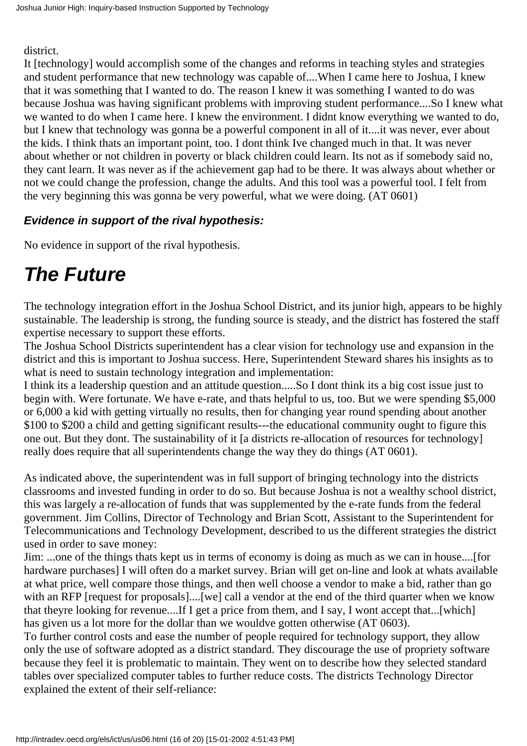district.

It [technology] would accomplish some of the changes and reforms in teaching styles and strategies and student performance that new technology was capable of....When I came here to Joshua, I knew that it was something that I wanted to do. The reason I knew it was something I wanted to do was because Joshua was having significant problems with improving student performance....So I knew what we wanted to do when I came here. I knew the environment. I didn t know everything we wanted to do, but I knew that technology was gonna be a powerful component in all of it....it was never, ever about the kids. I think that s an important point, too. I don t think I ve changed much in that. It was never about whether or not children in poverty or black children could learn. It s not as if somebody said no, they cant learn. It was never as if the achievement gap had to be there. It was always about whether or not we could change the profession, change the adults. And this tool was a powerful tool. I felt from the very beginning this was gonna be very powerful, what we were doing. (AT 0601)

### <span id="page-15-0"></span>**Evidence in support of the rival hypothesis:**

No evidence in support of the rival hypothesis.

# <span id="page-15-1"></span>*The Future*

The technology integration effort in the Joshua School District, and its junior high, appears to be highly sustainable. The leadership is strong, the funding source is steady, and the district has fostered the staff expertise necessary to support these efforts.

The Joshua School District s superintendent has a clear vision for technology use and expansion in the district and this is important to Joshua success. Here, Superintendent Steward shares his insights as to what is need to sustain technology integration and implementation:

I think its a leadership question and an attitude question.....So I dont think its a big cost issue just to begin with. We re fortunate. We have e-rate, and that s helpful to us, too. But we were spending \$5,000 or 6,000 a kid with getting virtually no results, then for changing year round spending about another \$100 to \$200 a child and getting significant results---the educational community ought to figure this one out. But they don t. The sustainability of it [a district s re-allocation of resources for technology] really does require that all superintendents change the way they do things (AT 0601).

As indicated above, the superintendent was in full support of bringing technology into the districts classrooms and invested funding in order to do so. But because Joshua is not a wealthy school district, this was largely a re-allocation of funds that was supplemented by the e-rate funds from the federal government. Jim Collins, Director of Technology and Brian Scott, Assistant to the Superintendent for Telecommunications and Technology Development, described to us the different strategies the district used in order to save money:

Jim: ...one of the things thats kept us in terms of economy is doing as much as we can in house....[for hardware purchases] I will often do a market survey. Brian will get on-line and look at what s available at what price, well compare those things, and then well choose a vendor to make a bid, rather than go with an RFP [request for proposals]....[we] call a vendor at the end of the third quarter when we know that they re looking for revenue....If I get a price from them, and I say, I won t accept that ...[which] has given us a lot more for the dollar than we would ve gotten otherwise (AT 0603).

To further control costs and ease the number of people required for technology support, they allow only the use of software adopted as a district standard. They discourage the use of propriety software because they feel it is problematic to maintain. They went on to describe how they selected standard tables over specialized computer tables to further reduce costs. The district s Technology Director explained the extent of their self-reliance: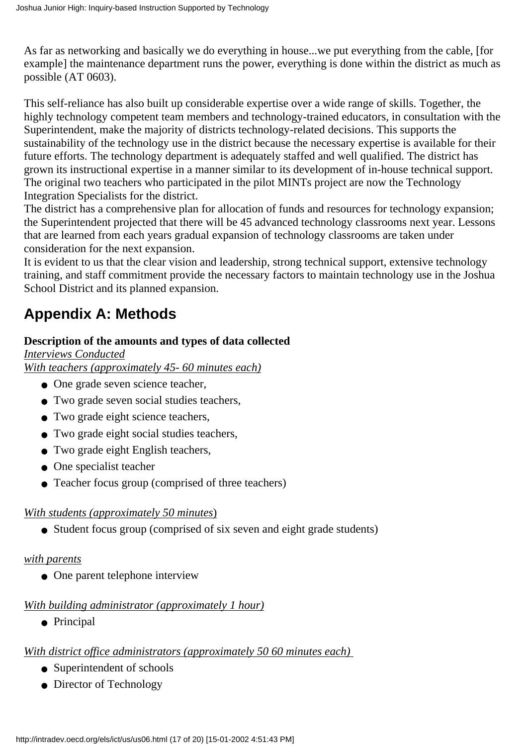As far as networking and basically we do everything in house...we put everything from the cable, [for example] the maintenance department runs the power, everything is done within the district as much as possible (AT 0603).

This self-reliance has also built up considerable expertise over a wide range of skills. Together, the highly technology competent team members and technology-trained educators, in consultation with the Superintendent, make the majority of district s technology-related decisions. This supports the sustainability of the technology use in the district because the necessary expertise is available for their future efforts. The technology department is adequately staffed and well qualified. The district has grown its instructional expertise in a manner similar to its development of in-house technical support. The original two teachers who participated in the pilot MINTs project are now the Technology Integration Specialists for the district.

The district has a comprehensive plan for allocation of funds and resources for technology expansion; the Superintendent projected that there will be 45 advanced technology classrooms next year. Lessons that are learned from each years gradual expansion of technology classrooms are taken under consideration for the next expansion.

It is evident to us that the clear vision and leadership, strong technical support, extensive technology training, and staff commitment provide the necessary factors to maintain technology use in the Joshua School District and its planned expansion.

# <span id="page-16-0"></span>**Appendix A: Methods**

### **Description of the amounts and types of data collected**

*Interviews Conducted With teachers (approximately 45- 60 minutes each)*

- One grade seven science teacher,
- Two grade seven social studies teachers,
- Two grade eight science teachers,
- Two grade eight social studies teachers,
- Two grade eight English teachers,
- One specialist teacher
- Teacher focus group (comprised of three teachers)

### *With students (approximately 50 minutes*)

● Student focus group (comprised of six seven and eight grade students)

### *with parents*

• One parent telephone interview

### *With building administrator (approximately 1 hour)*

● Principal

### *With district office administrators (approximately 50 60 minutes each)*

- Superintendent of schools
- Director of Technology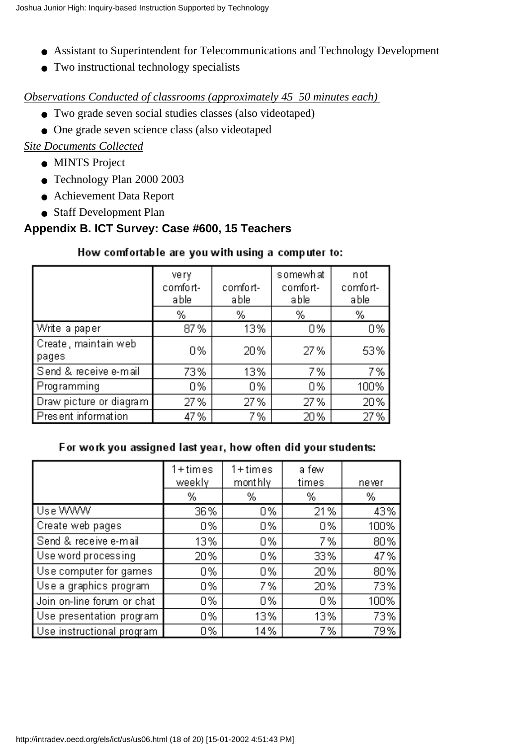- Assistant to Superintendent for Telecommunications and Technology Development
- Two instructional technology specialists

#### *Observations Conducted of classrooms (approximately 45 50 minutes each)*

- Two grade seven social studies classes (also videotaped)
- One grade seven science class (also videotaped

#### *Site Documents Collected*

- MINTS Project
- Technology Plan 2000 2003
- Achievement Data Report
- Staff Development Plan

### **Appendix B. ICT Survey: Case #600, 15 Teachers**

#### How comfortable are you with using a computer to:

|                               | very<br>comfort-<br>able | comfort-<br>able | somewhat<br>comfort-<br>able | not<br>comfort-<br>able |
|-------------------------------|--------------------------|------------------|------------------------------|-------------------------|
|                               | %                        | %                | %                            | %                       |
| Write a paper                 | 87%                      | 13%              | 0%                           | 0%                      |
| Create, maintain web<br>pages | 0%                       | 20%              | 27%                          | 53%                     |
| Send & receive e-mail         | 73%                      | 13%              | 7%                           | 7%                      |
| Programming                   | 0%                       | 0%               | 0%                           | 100%                    |
| Draw picture or diagram       | 27%                      | 27%              | 27%                          | 20%                     |
| Present information           | 47 %                     | 7%               | 20%                          | 27%                     |

#### For work you assigned last year, how often did your students:

|                            | 1+times<br>weekly | $1 + times$<br>mont hly | a few<br>times | never |
|----------------------------|-------------------|-------------------------|----------------|-------|
|                            | %                 | %                       | %              | %     |
| Use WWW                    | 36%               | 0%                      | 21%            | 43%   |
| Create web pages           | 0%                | 0%                      | 0%             | 100%  |
| Send & receive e-mail      | 13%               | 0%                      | 7%             | 80%   |
| Use word processing        | 20%               | 0%                      | 33%            | 47%   |
| Use computer for games     | 0%                | 0%                      | 20%            | 80%   |
| Use a graphics program     | 0%                | 7%                      | 20%            | 73%   |
| Join on-line forum or chat | 0%                | 0%                      | 0%             | 100%  |
| Use presentation program   | 0%                | 13%                     | 13%            | 73%   |
| Use instructional program  | 0%                | 14%                     | 7%             | 79%   |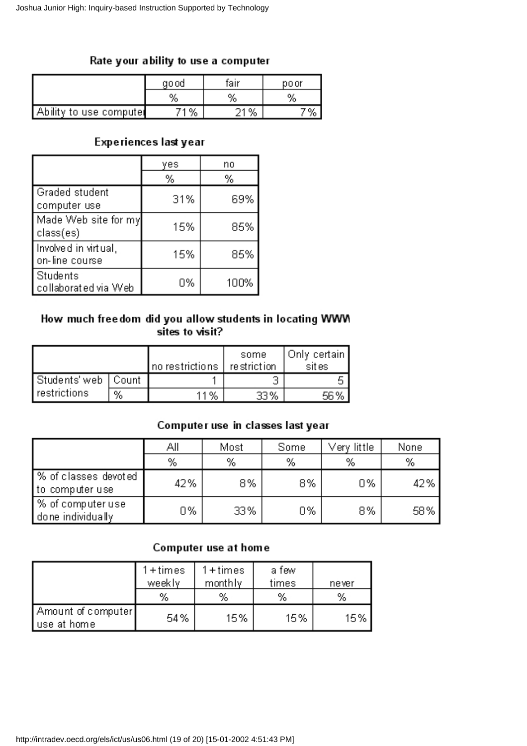#### Rate your ability to use a computer

|                         | ao od | fair | po or |
|-------------------------|-------|------|-------|
|                         | %     | %    | %     |
| Ability to use computed | 1%    | 21%  |       |

#### Experiences last year

|                                        | yes | no   |
|----------------------------------------|-----|------|
|                                        | %   | %    |
| Graded student<br>computer use         | 31% | 69%  |
| Made Web site for my<br>  class(es)    | 15% | 85%  |
| Involved in virtual,<br>on-line course | 15% | 85%  |
| Students<br>collaborated via Web       | 0%  | 100% |

#### How much freedom did you allow students in locating WWM sites to visit?

|                       |   | no restrictions | some<br>restriction | Only certain  <br>sites |
|-----------------------|---|-----------------|---------------------|-------------------------|
| Students' web   Count |   |                 |                     |                         |
| restrictions          | % | 11%             | 33%                 | 56%                     |

### Computer use in classes last year

|                                         | Αll | Most | Some | Very little | None |
|-----------------------------------------|-----|------|------|-------------|------|
|                                         | %   | %    | %    | %           | %    |
| % of classes devoted<br>to computer use | 42% | 8%   | 8%   | 0%          | 42%  |
| /% of computer use<br>done individually | 0%  | 33%  | 0%   | 8%          | 58%  |

#### Computer use at home

|                                     | $1 + times$<br>weekly<br>% | $1 + times$<br>monthly<br>% | a few<br>times<br>% | never<br>% |
|-------------------------------------|----------------------------|-----------------------------|---------------------|------------|
| Amount of computer  <br>use at home | 54%                        | 15%                         | 15%                 | 15%        |